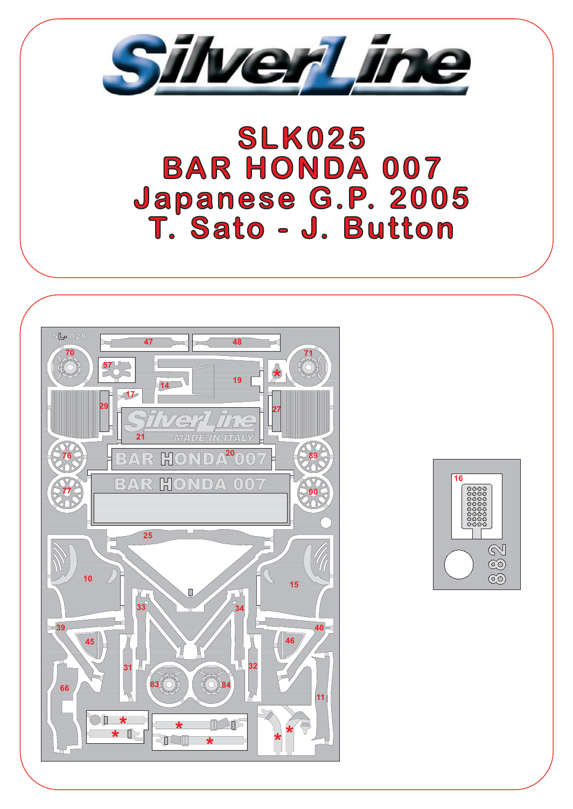

## **SLK025 BAR HONDA 007** Japanese G.P. 2005<br>T. Sato - J. Button



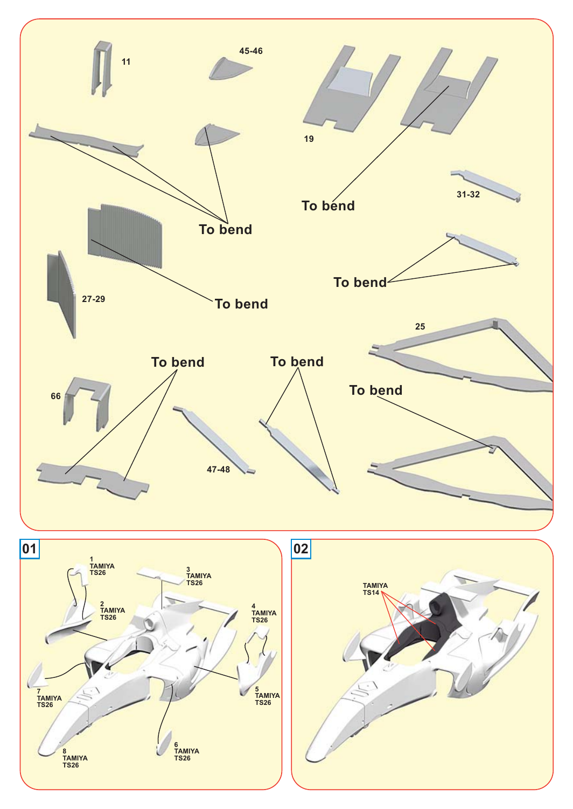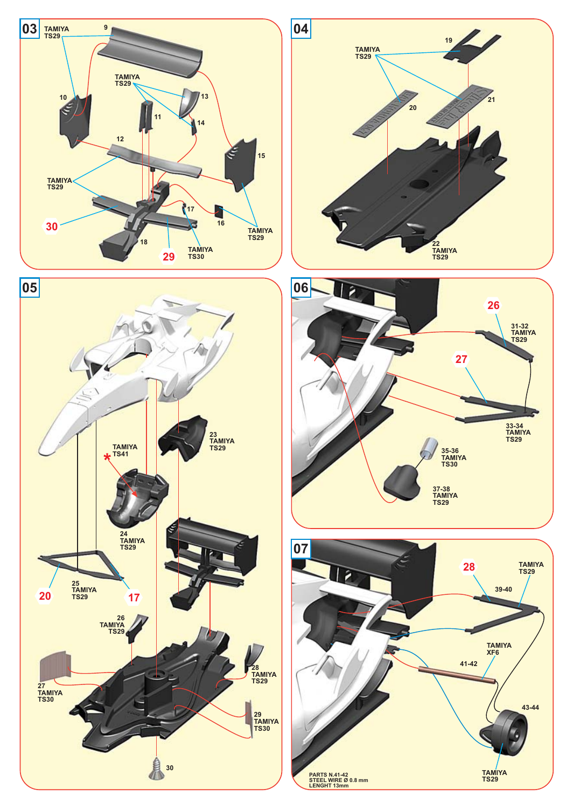







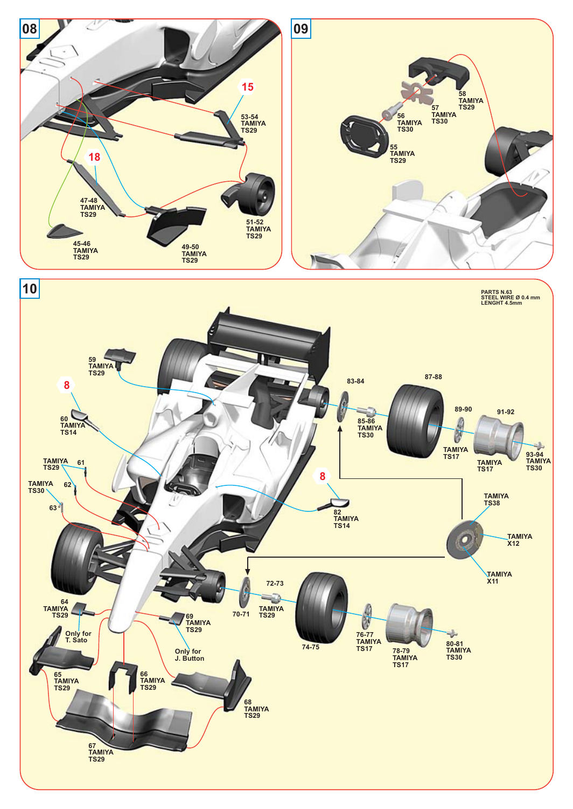

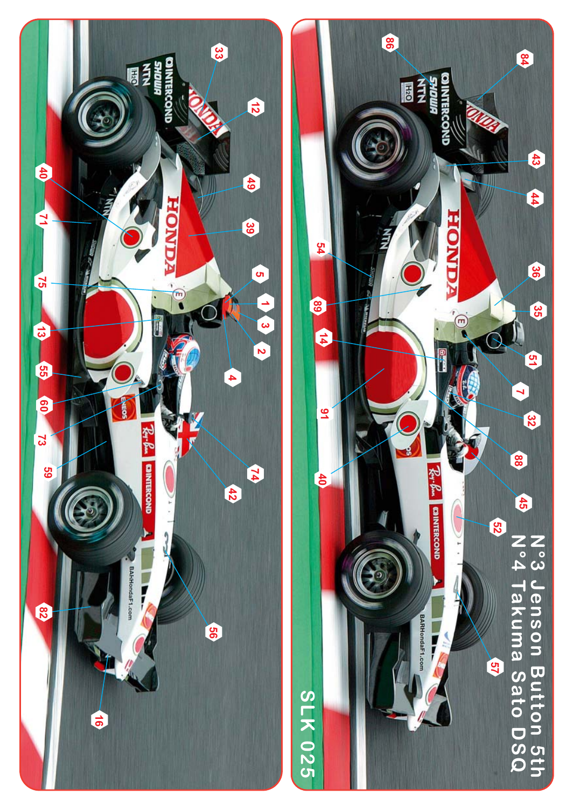